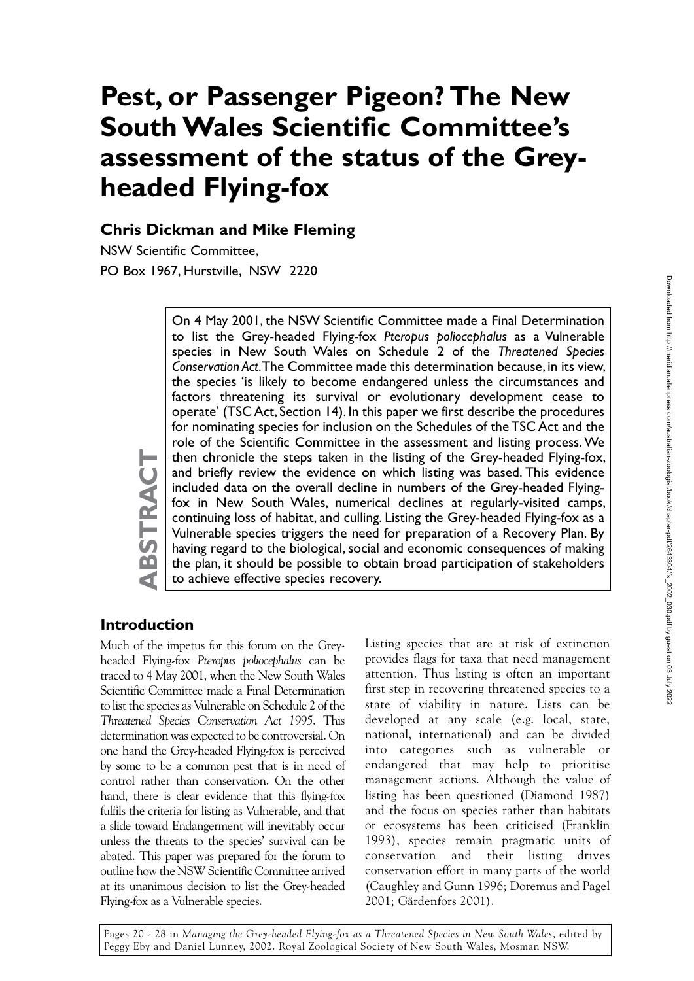# **Pest, or Passenger Pigeon? The New South Wales Scientific Committee's assessment of the status of the Greyheaded Flying-fox**

#### **Chris Dickman and Mike Fleming**

NSW Scientific Committee, PO Box 1967, Hurstville, NSW 2220

> On 4 May 2001, the NSW Scientific Committee made a Final Determination to list the Grey-headed Flying-fox *Pteropus poliocephalus* as a Vulnerable species in New South Wales on Schedule 2 of the *Threatened Species Conservation Act*. The Committee made this determination because, in its view, the species 'is likely to become endangered unless the circumstances and factors threatening its survival or evolutionary development cease to operate' (TSC Act, Section 14). In this paper we first describe the procedures for nominating species for inclusion on the Schedules of the TSC Act and the role of the Scientific Committee in the assessment and listing process. We then chronicle the steps taken in the listing of the Grey-headed Flying-fox, and briefly review the evidence on which listing was based. This evidence included data on the overall decline in numbers of the Grey-headed Flyingfox in New South Wales, numerical declines at regularly-visited camps, continuing loss of habitat, and culling. Listing the Grey-headed Flying-fox as a Vulnerable species triggers the need for preparation of a Recovery Plan. By having regard to the biological, social and economic consequences of making the plan, it should be possible to obtain broad participation of stakeholders to achieve effective species recovery.

#### **Introduction**

**ABSTRACT**

 $\mathbf{\Omega}$ 

STRACT

Much of the impetus for this forum on the Greyheaded Flying-fox *Pteropus poliocephalus* can be traced to 4 May 2001, when the New South Wales Scientific Committee made a Final Determination to list the species as Vulnerable on Schedule 2 of the *Threatened Species Conservation Act 1995*. This determination was expected to be controversial. On one hand the Grey-headed Flying-fox is perceived by some to be a common pest that is in need of control rather than conservation. On the other hand, there is clear evidence that this flying-fox fulfils the criteria for listing as Vulnerable, and that a slide toward Endangerment will inevitably occur unless the threats to the species' survival can be abated. This paper was prepared for the forum to outline how the NSW Scientific Committee arrived at its unanimous decision to list the Grey-headed Flying-fox as a Vulnerable species.

Listing species that are at risk of extinction provides flags for taxa that need management attention. Thus listing is often an important first step in recovering threatened species to a state of viability in nature. Lists can be developed at any scale (e.g. local, state, national, international) and can be divided into categories such as vulnerable or endangered that may help to prioritise management actions. Although the value of listing has been questioned (Diamond 1987) and the focus on species rather than habitats or ecosystems has been criticised (Franklin 1993), species remain pragmatic units of conservation and their listing drives conservation effort in many parts of the world (Caughley and Gunn 1996; Doremus and Pagel 2001; Gärdenfors 2001).

Pages 20 - 28 in *Managing the Grey-headed Flying-fox as a Threatened Species in New South Wales*, edited by Peggy Eby and Daniel Lunney, 2002. Royal Zoological Society of New South Wales, Mosman NSW.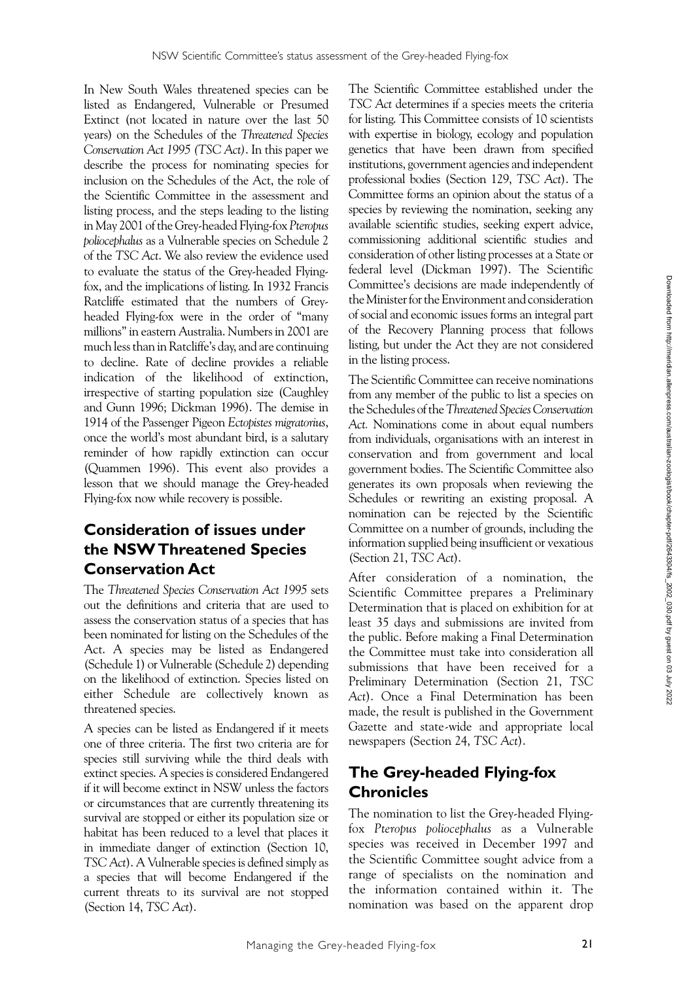In New South Wales threatened species can be listed as Endangered, Vulnerable or Presumed Extinct (not located in nature over the last 50 years) on the Schedules of the *Threatened Species Conservation Act 1995 (TSC Act)*. In this paper we describe the process for nominating species for inclusion on the Schedules of the Act, the role of the Scientific Committee in the assessment and listing process, and the steps leading to the listing in May 2001 of the Grey-headed Flying-fox *Pteropus poliocephalus* as a Vulnerable species on Schedule 2 of the *TSC Act*. We also review the evidence used to evaluate the status of the Grey-headed Flyingfox, and the implications of listing. In 1932 Francis Ratcliffe estimated that the numbers of Greyheaded Flying-fox were in the order of "many millions" in eastern Australia. Numbers in 2001 are much less than in Ratcliffe's day, and are continuing to decline. Rate of decline provides a reliable indication of the likelihood of extinction, irrespective of starting population size (Caughley and Gunn 1996; Dickman 1996). The demise in 1914 of the Passenger Pigeon *Ectopistes migratorius*, once the world's most abundant bird, is a salutary reminder of how rapidly extinction can occur (Quammen 1996). This event also provides a lesson that we should manage the Grey-headed Flying-fox now while recovery is possible.

# **Consideration of issues under the NSW Threatened Species Conservation Act**

The *Threatened Species Conservation Act 1995* sets out the definitions and criteria that are used to assess the conservation status of a species that has been nominated for listing on the Schedules of the Act. A species may be listed as Endangered (Schedule 1) or Vulnerable (Schedule 2) depending on the likelihood of extinction. Species listed on either Schedule are collectively known as threatened species.

A species can be listed as Endangered if it meets one of three criteria. The first two criteria are for species still surviving while the third deals with extinct species. A species is considered Endangered if it will become extinct in NSW unless the factors or circumstances that are currently threatening its survival are stopped or either its population size or habitat has been reduced to a level that places it in immediate danger of extinction (Section 10, *TSC Act*). A Vulnerable species is defined simply as a species that will become Endangered if the current threats to its survival are not stopped (Section 14, *TSC Act*).

The Scientific Committee established under the *TSC Act* determines if a species meets the criteria for listing. This Committee consists of 10 scientists with expertise in biology, ecology and population genetics that have been drawn from specified institutions, government agencies and independent professional bodies (Section 129, *TSC Act*). The Committee forms an opinion about the status of a species by reviewing the nomination, seeking any available scientific studies, seeking expert advice, commissioning additional scientific studies and consideration of other listing processes at a State or federal level (Dickman 1997). The Scientific Committee's decisions are made independently of the Minister for the Environment and consideration of social and economic issues forms an integral part of the Recovery Planning process that follows listing, but under the Act they are not considered in the listing process.

The Scientific Committee can receive nominations from any member of the public to list a species on the Schedules of the *Threatened Species Conservation Act.* Nominations come in about equal numbers from individuals, organisations with an interest in conservation and from government and local government bodies. The Scientific Committee also generates its own proposals when reviewing the Schedules or rewriting an existing proposal. A nomination can be rejected by the Scientific Committee on a number of grounds, including the information supplied being insufficient or vexatious (Section 21, *TSC Act*).

After consideration of a nomination, the Scientific Committee prepares a Preliminary Determination that is placed on exhibition for at least 35 days and submissions are invited from the public. Before making a Final Determination the Committee must take into consideration all submissions that have been received for a Preliminary Determination (Section 21, *TSC Act*). Once a Final Determination has been made, the result is published in the Government Gazette and state-wide and appropriate local newspapers (Section 24, *TSC Act*).

# **The Grey-headed Flying-fox Chronicles**

The nomination to list the Grey-headed Flyingfox *Pteropus poliocephalus* as a Vulnerable species was received in December 1997 and the Scientific Committee sought advice from a range of specialists on the nomination and the information contained within it. The nomination was based on the apparent drop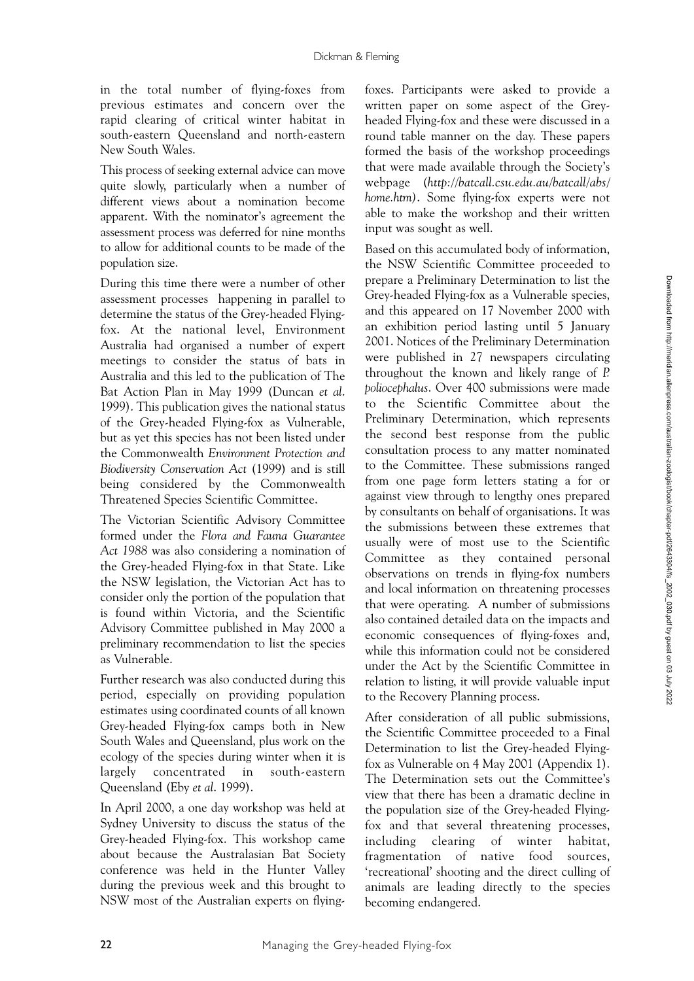in the total number of flying-foxes from previous estimates and concern over the rapid clearing of critical winter habitat in south-eastern Queensland and north-eastern New South Wales.

This process of seeking external advice can move quite slowly, particularly when a number of different views about a nomination become apparent. With the nominator's agreement the assessment process was deferred for nine months to allow for additional counts to be made of the population size.

During this time there were a number of other assessment processes happening in parallel to determine the status of the Grey-headed Flyingfox. At the national level, Environment Australia had organised a number of expert meetings to consider the status of bats in Australia and this led to the publication of The Bat Action Plan in May 1999 (Duncan *et al*. 1999). This publication gives the national status of the Grey-headed Flying-fox as Vulnerable, but as yet this species has not been listed under the Commonwealth *Environment Protection and Biodiversity Conservation Act* (1999) and is still being considered by the Commonwealth Threatened Species Scientific Committee.

The Victorian Scientific Advisory Committee formed under the *Flora and Fauna Guarantee Act 1988* was also considering a nomination of the Grey-headed Flying-fox in that State. Like the NSW legislation, the Victorian Act has to consider only the portion of the population that is found within Victoria, and the Scientific Advisory Committee published in May 2000 a preliminary recommendation to list the species as Vulnerable.

Further research was also conducted during this period, especially on providing population estimates using coordinated counts of all known Grey-headed Flying-fox camps both in New South Wales and Queensland, plus work on the ecology of the species during winter when it is largely concentrated in south-eastern Queensland (Eby *et al*. 1999).

In April 2000, a one day workshop was held at Sydney University to discuss the status of the Grey-headed Flying-fox. This workshop came about because the Australasian Bat Society conference was held in the Hunter Valley during the previous week and this brought to NSW most of the Australian experts on flying-

foxes. Participants were asked to provide a written paper on some aspect of the Greyheaded Flying-fox and these were discussed in a round table manner on the day. These papers formed the basis of the workshop proceedings that were made available through the Society's webpage (*http://batcall.csu.edu.au/batcall/abs/ home.htm)*. Some flying-fox experts were not able to make the workshop and their written input was sought as well.

Based on this accumulated body of information, the NSW Scientific Committee proceeded to prepare a Preliminary Determination to list the Grey-headed Flying-fox as a Vulnerable species, and this appeared on 17 November 2000 with an exhibition period lasting until 5 January 2001. Notices of the Preliminary Determination were published in 27 newspapers circulating throughout the known and likely range of *P. poliocephalus*. Over 400 submissions were made to the Scientific Committee about the Preliminary Determination, which represents the second best response from the public consultation process to any matter nominated to the Committee. These submissions ranged from one page form letters stating a for or against view through to lengthy ones prepared by consultants on behalf of organisations. It was the submissions between these extremes that usually were of most use to the Scientific Committee as they contained personal observations on trends in flying-fox numbers and local information on threatening processes that were operating. A number of submissions also contained detailed data on the impacts and economic consequences of flying-foxes and, while this information could not be considered under the Act by the Scientific Committee in relation to listing, it will provide valuable input to the Recovery Planning process.

After consideration of all public submissions, the Scientific Committee proceeded to a Final Determination to list the Grey-headed Flyingfox as Vulnerable on 4 May 2001 (Appendix 1). The Determination sets out the Committee's view that there has been a dramatic decline in the population size of the Grey-headed Flyingfox and that several threatening processes, including clearing of winter habitat, fragmentation of native food sources, 'recreational' shooting and the direct culling of animals are leading directly to the species becoming endangered.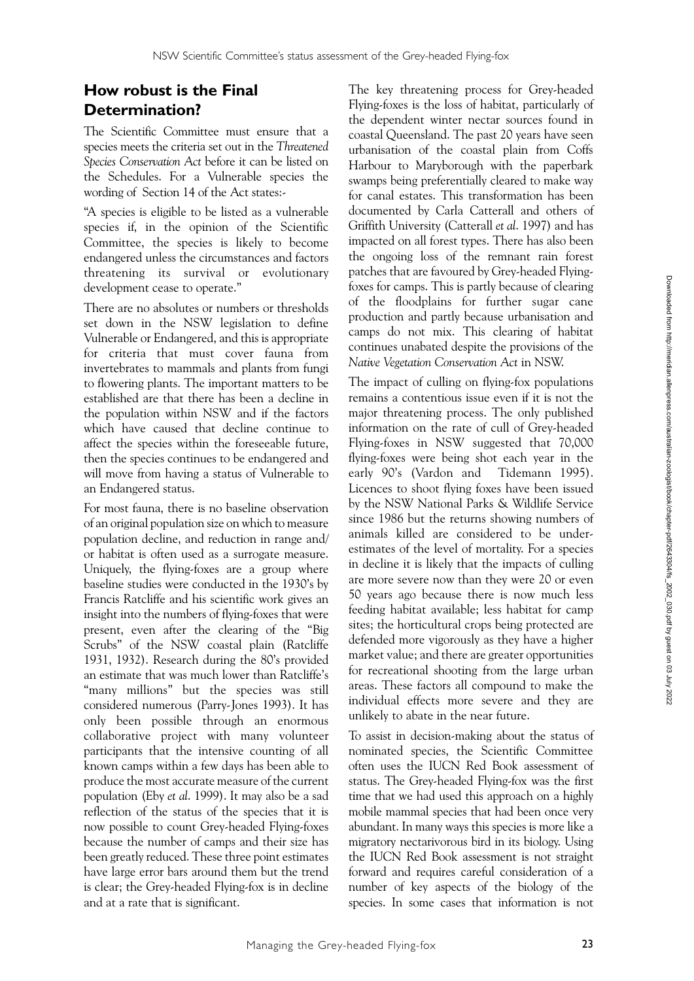# **How robust is the Final Determination?**

The Scientific Committee must ensure that a species meets the criteria set out in the *Threatened Species Conservation Act* before it can be listed on the Schedules. For a Vulnerable species the wording of Section 14 of the Act states:-

"A species is eligible to be listed as a vulnerable species if, in the opinion of the Scientific Committee, the species is likely to become endangered unless the circumstances and factors threatening its survival or evolutionary development cease to operate."

There are no absolutes or numbers or thresholds set down in the NSW legislation to define Vulnerable or Endangered, and this is appropriate for criteria that must cover fauna from invertebrates to mammals and plants from fungi to flowering plants. The important matters to be established are that there has been a decline in the population within NSW and if the factors which have caused that decline continue to affect the species within the foreseeable future, then the species continues to be endangered and will move from having a status of Vulnerable to an Endangered status.

For most fauna, there is no baseline observation of an original population size on which to measure population decline, and reduction in range and/ or habitat is often used as a surrogate measure. Uniquely, the flying-foxes are a group where baseline studies were conducted in the 1930's by Francis Ratcliffe and his scientific work gives an insight into the numbers of flying-foxes that were present, even after the clearing of the "Big Scrubs" of the NSW coastal plain (Ratcliffe 1931, 1932). Research during the 80's provided an estimate that was much lower than Ratcliffe's "many millions" but the species was still considered numerous (Parry-Jones 1993). It has only been possible through an enormous collaborative project with many volunteer participants that the intensive counting of all known camps within a few days has been able to produce the most accurate measure of the current population (Eby *et al*. 1999). It may also be a sad reflection of the status of the species that it is now possible to count Grey-headed Flying-foxes because the number of camps and their size has been greatly reduced. These three point estimates have large error bars around them but the trend is clear; the Grey-headed Flying-fox is in decline and at a rate that is significant.

The key threatening process for Grey-headed Flying-foxes is the loss of habitat, particularly of the dependent winter nectar sources found in coastal Queensland. The past 20 years have seen urbanisation of the coastal plain from Coffs Harbour to Maryborough with the paperbark swamps being preferentially cleared to make way for canal estates. This transformation has been documented by Carla Catterall and others of Griffith University (Catterall *et al*. 1997) and has impacted on all forest types. There has also been the ongoing loss of the remnant rain forest patches that are favoured by Grey-headed Flyingfoxes for camps. This is partly because of clearing of the floodplains for further sugar cane production and partly because urbanisation and camps do not mix. This clearing of habitat continues unabated despite the provisions of the *Native Vegetation Conservation Act* in NSW.

The impact of culling on flying-fox populations remains a contentious issue even if it is not the major threatening process. The only published information on the rate of cull of Grey-headed Flying-foxes in NSW suggested that 70,000 flying-foxes were being shot each year in the early 90's (Vardon and Tidemann 1995). Licences to shoot flying foxes have been issued by the NSW National Parks & Wildlife Service since 1986 but the returns showing numbers of animals killed are considered to be underestimates of the level of mortality. For a species in decline it is likely that the impacts of culling are more severe now than they were 20 or even 50 years ago because there is now much less feeding habitat available; less habitat for camp sites; the horticultural crops being protected are defended more vigorously as they have a higher market value; and there are greater opportunities for recreational shooting from the large urban areas. These factors all compound to make the individual effects more severe and they are unlikely to abate in the near future.

To assist in decision-making about the status of nominated species, the Scientific Committee often uses the IUCN Red Book assessment of status. The Grey-headed Flying-fox was the first time that we had used this approach on a highly mobile mammal species that had been once very abundant. In many ways this species is more like a migratory nectarivorous bird in its biology. Using the IUCN Red Book assessment is not straight forward and requires careful consideration of a number of key aspects of the biology of the species. In some cases that information is not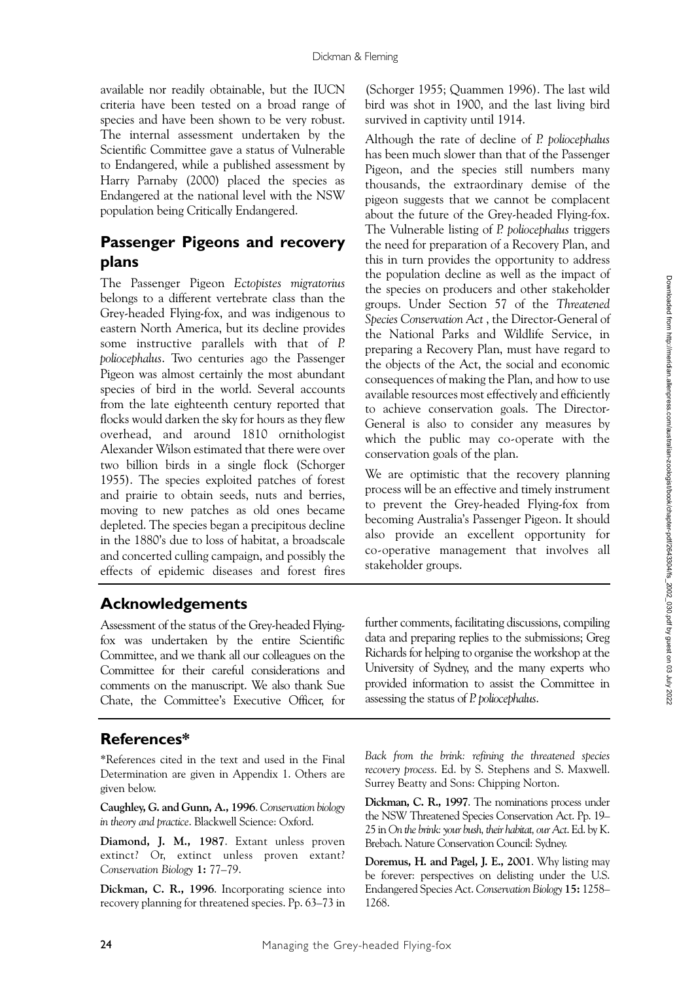available nor readily obtainable, but the IUCN criteria have been tested on a broad range of species and have been shown to be very robust. The internal assessment undertaken by the Scientific Committee gave a status of Vulnerable to Endangered, while a published assessment by Harry Parnaby (2000) placed the species as Endangered at the national level with the NSW population being Critically Endangered.

# **Passenger Pigeons and recovery plans**

The Passenger Pigeon *Ectopistes migratorius* belongs to a different vertebrate class than the Grey-headed Flying-fox, and was indigenous to eastern North America, but its decline provides some instructive parallels with that of *P. poliocephalus*. Two centuries ago the Passenger Pigeon was almost certainly the most abundant species of bird in the world. Several accounts from the late eighteenth century reported that flocks would darken the sky for hours as they flew overhead, and around 1810 ornithologist Alexander Wilson estimated that there were over two billion birds in a single flock (Schorger 1955). The species exploited patches of forest and prairie to obtain seeds, nuts and berries, moving to new patches as old ones became depleted. The species began a precipitous decline in the 1880's due to loss of habitat, a broadscale and concerted culling campaign, and possibly the effects of epidemic diseases and forest fires

(Schorger 1955; Quammen 1996). The last wild bird was shot in 1900, and the last living bird survived in captivity until 1914.

Although the rate of decline of *P. poliocephalus* has been much slower than that of the Passenger Pigeon, and the species still numbers many thousands, the extraordinary demise of the pigeon suggests that we cannot be complacent about the future of the Grey-headed Flying-fox. The Vulnerable listing of *P. poliocephalus* triggers the need for preparation of a Recovery Plan, and this in turn provides the opportunity to address the population decline as well as the impact of the species on producers and other stakeholder groups. Under Section 57 of the *Threatened Species Conservation Act* , the Director-General of the National Parks and Wildlife Service, in preparing a Recovery Plan, must have regard to the objects of the Act, the social and economic consequences of making the Plan, and how to use available resources most effectively and efficiently to achieve conservation goals. The Director-General is also to consider any measures by which the public may co-operate with the conservation goals of the plan.

We are optimistic that the recovery planning process will be an effective and timely instrument to prevent the Grey-headed Flying-fox from becoming Australia's Passenger Pigeon. It should also provide an excellent opportunity for co-operative management that involves all stakeholder groups.

# **Acknowledgements**

Assessment of the status of the Grey-headed Flyingfox was undertaken by the entire Scientific Committee, and we thank all our colleagues on the Committee for their careful considerations and comments on the manuscript. We also thank Sue Chate, the Committee's Executive Officer, for further comments, facilitating discussions, compiling data and preparing replies to the submissions; Greg Richards for helping to organise the workshop at the University of Sydney, and the many experts who provided information to assist the Committee in assessing the status of *P. poliocephalus*.

#### **References\***

\*References cited in the text and used in the Final Determination are given in Appendix 1. Others are given below.

**Caughley, G. and Gunn, A., 1996**. *Conservation biology in theory and practice*. Blackwell Science: Oxford.

**Diamond, J. M., 1987**. Extant unless proven extinct? Or, extinct unless proven extant? *Conservation Biology* **1:** 77–79.

**Dickman, C. R., 1996**. Incorporating science into recovery planning for threatened species. Pp. 63–73 in *Back from the brink: refining the threatened species recovery process*. Ed. by S. Stephens and S. Maxwell. Surrey Beatty and Sons: Chipping Norton.

**Dickman, C. R., 1997**. The nominations process under the NSW Threatened Species Conservation Act. Pp. 19– 25 in *On the brink: your bush, their habitat, our Act*. Ed. by K. Brebach. Nature Conservation Council: Sydney.

**Doremus, H. and Pagel, J. E., 2001**. Why listing may be forever: perspectives on delisting under the U.S. Endangered Species Act. *Conservation Biology* **15:** 1258– 1268.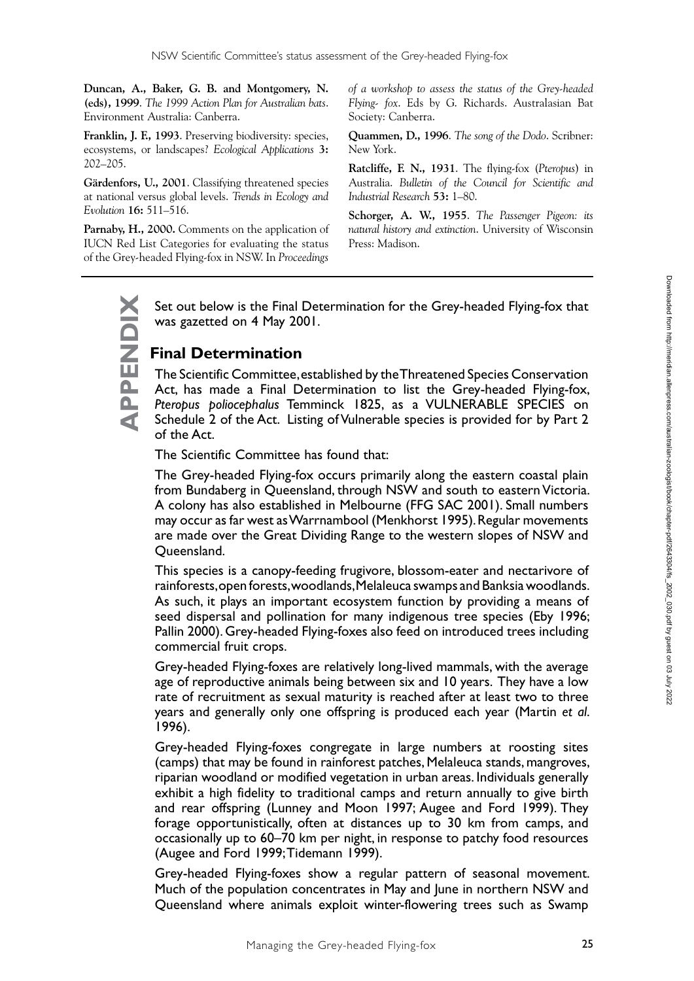**Duncan, A., Baker, G. B. and Montgomery, N. (eds), 1999**. *The 1999 Action Plan for Australian bats*. Environment Australia: Canberra.

**Franklin, J. F., 1993**. Preserving biodiversity: species, ecosystems, or landscapes? *Ecological Applications* **3:**  202–205.

**Gärdenfors, U., 2001**. Classifying threatened species at national versus global levels. *Trends in Ecology and Evolution* **16:** 511–516.

**Parnaby, H., 2000.** Comments on the application of IUCN Red List Categories for evaluating the status of the Grey-headed Flying-fox in NSW. In *Proceedings* 

*of a workshop to assess the status of the Grey-headed Flying- fox*. Eds by G. Richards. Australasian Bat Society: Canberra.

**Quammen, D., 1996**. *The song of the Dodo*. Scribner: New York.

**Ratcliffe, F. N., 1931**. The flying-fox (*Pteropus*) in Australia. *Bulletin of the Council for Scientific and Industrial Research* **53:** 1–80.

**Schorger, A. W., 1955**. *The Passenger Pigeon: its natural history and extinction*. University of Wisconsin Press: Madison.

Set out below is the Final Determination for the Grey-headed Flying-fox that was gazetted on 4 May 2001.

#### **Final Determination**

**APPENDIX**

PPENDIX

The Scientific Committee, established by the Threatened Species Conservation Act, has made a Final Determination to list the Grey-headed Flying-fox, *Pteropus poliocephalus* Temminck 1825, as a VULNERABLE SPECIES on Schedule 2 of the Act. Listing of Vulnerable species is provided for by Part 2 of the Act.

The Scientific Committee has found that:

The Grey-headed Flying-fox occurs primarily along the eastern coastal plain from Bundaberg in Queensland, through NSW and south to eastern Victoria. A colony has also established in Melbourne (FFG SAC 2001). Small numbers may occur as far west as Warrnambool (Menkhorst 1995). Regular movements are made over the Great Dividing Range to the western slopes of NSW and Queensland.

This species is a canopy-feeding frugivore, blossom-eater and nectarivore of rainforests, open forests, woodlands, Melaleuca swamps and Banksia woodlands. As such, it plays an important ecosystem function by providing a means of seed dispersal and pollination for many indigenous tree species (Eby 1996; Pallin 2000). Grey-headed Flying-foxes also feed on introduced trees including commercial fruit crops.

Grey-headed Flying-foxes are relatively long-lived mammals, with the average age of reproductive animals being between six and 10 years. They have a low rate of recruitment as sexual maturity is reached after at least two to three years and generally only one offspring is produced each year (Martin *et al*. 1996).

Grey-headed Flying-foxes congregate in large numbers at roosting sites (camps) that may be found in rainforest patches, Melaleuca stands, mangroves, riparian woodland or modified vegetation in urban areas. Individuals generally exhibit a high fidelity to traditional camps and return annually to give birth and rear offspring (Lunney and Moon 1997; Augee and Ford 1999). They forage opportunistically, often at distances up to 30 km from camps, and occasionally up to 60–70 km per night, in response to patchy food resources (Augee and Ford 1999; Tidemann 1999).

Grey-headed Flying-foxes show a regular pattern of seasonal movement. Much of the population concentrates in May and June in northern NSW and Queensland where animals exploit winter-flowering trees such as Swamp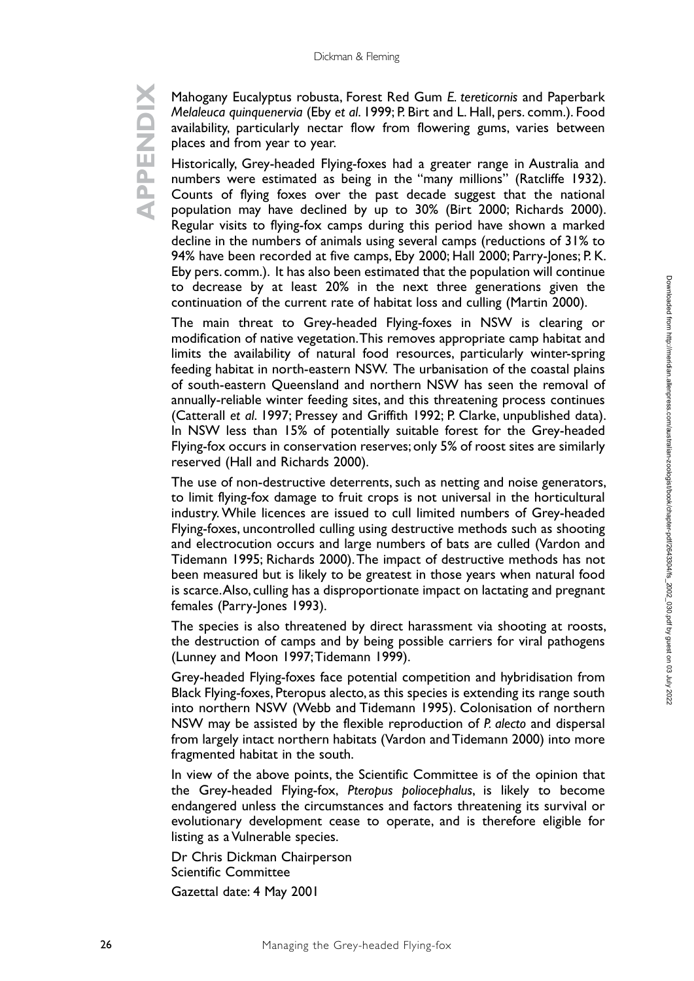# **APPENDIX XIQNENDR**

Mahogany Eucalyptus robusta, Forest Red Gum *E. tereticornis* and Paperbark *Melaleuca quinquenervia* (Eby *et al*. 1999; P. Birt and L. Hall, pers. comm.). Food availability, particularly nectar flow from flowering gums, varies between places and from year to year.

Historically, Grey-headed Flying-foxes had a greater range in Australia and numbers were estimated as being in the "many millions" (Ratcliffe 1932). Counts of flying foxes over the past decade suggest that the national population may have declined by up to 30% (Birt 2000; Richards 2000). Regular visits to flying-fox camps during this period have shown a marked decline in the numbers of animals using several camps (reductions of 31% to 94% have been recorded at five camps, Eby 2000; Hall 2000; Parry-Jones; P. K. Eby pers. comm.). It has also been estimated that the population will continue to decrease by at least 20% in the next three generations given the continuation of the current rate of habitat loss and culling (Martin 2000).

The main threat to Grey-headed Flying-foxes in NSW is clearing or modification of native vegetation. This removes appropriate camp habitat and limits the availability of natural food resources, particularly winter-spring feeding habitat in north-eastern NSW. The urbanisation of the coastal plains of south-eastern Queensland and northern NSW has seen the removal of annually-reliable winter feeding sites, and this threatening process continues (Catterall *et al*. 1997; Pressey and Griffith 1992; P. Clarke, unpublished data). In NSW less than 15% of potentially suitable forest for the Grey-headed Flying-fox occurs in conservation reserves; only 5% of roost sites are similarly reserved (Hall and Richards 2000).

The use of non-destructive deterrents, such as netting and noise generators, to limit flying-fox damage to fruit crops is not universal in the horticultural industry. While licences are issued to cull limited numbers of Grey-headed Flying-foxes, uncontrolled culling using destructive methods such as shooting and electrocution occurs and large numbers of bats are culled (Vardon and Tidemann 1995; Richards 2000). The impact of destructive methods has not been measured but is likely to be greatest in those years when natural food is scarce. Also, culling has a disproportionate impact on lactating and pregnant females (Parry-Jones 1993).

The species is also threatened by direct harassment via shooting at roosts, the destruction of camps and by being possible carriers for viral pathogens (Lunney and Moon 1997; Tidemann 1999).

Grey-headed Flying-foxes face potential competition and hybridisation from Black Flying-foxes, Pteropus alecto, as this species is extending its range south into northern NSW (Webb and Tidemann 1995). Colonisation of northern NSW may be assisted by the flexible reproduction of *P. alecto* and dispersal from largely intact northern habitats (Vardon and Tidemann 2000) into more fragmented habitat in the south.

In view of the above points, the Scientific Committee is of the opinion that the Grey-headed Flying-fox, *Pteropus poliocephalus*, is likely to become endangered unless the circumstances and factors threatening its survival or evolutionary development cease to operate, and is therefore eligible for listing as a Vulnerable species.

Dr Chris Dickman Chairperson Scientific Committee

Gazettal date: 4 May 2001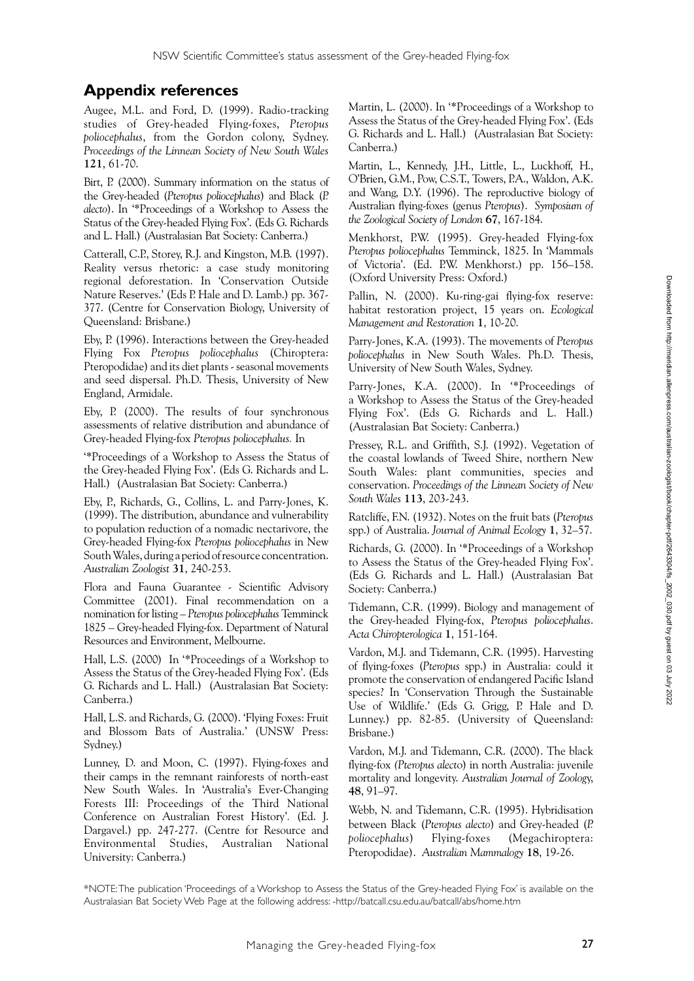#### **Appendix references**

Augee, M.L. and Ford, D. (1999). Radio-tracking studies of Grey-headed Flying-foxes, *Pteropus poliocephalus*, from the Gordon colony, Sydney. *Proceedings of the Linnean Society of New South Wales* **121**, 61-70.

Birt, P. (2000). Summary information on the status of the Grey-headed (*Pteropus poliocephalus*) and Black (*P. alecto*). In '\*Proceedings of a Workshop to Assess the Status of the Grey-headed Flying Fox'. (Eds G. Richards and L. Hall.) (Australasian Bat Society: Canberra.)

Catterall, C.P., Storey, R.J. and Kingston, M.B. (1997). Reality versus rhetoric: a case study monitoring regional deforestation. In 'Conservation Outside Nature Reserves.' (Eds P. Hale and D. Lamb.) pp. 367- 377. (Centre for Conservation Biology, University of Queensland: Brisbane.)

Eby, P. (1996). Interactions between the Grey-headed Flying Fox *Pteropus poliocephalus* (Chiroptera: Pteropodidae) and its diet plants - seasonal movements and seed dispersal. Ph.D. Thesis, University of New England, Armidale.

Eby, P. (2000). The results of four synchronous assessments of relative distribution and abundance of Grey-headed Flying-fox *Pteropus poliocephalus.* In

'\*Proceedings of a Workshop to Assess the Status of the Grey-headed Flying Fox'. (Eds G. Richards and L. Hall.) (Australasian Bat Society: Canberra.)

Eby, P., Richards, G., Collins, L. and Parry-Jones, K. (1999). The distribution, abundance and vulnerability to population reduction of a nomadic nectarivore, the Grey-headed Flying-fox *Pteropus poliocephalus* in New South Wales, during a period of resource concentration. *Australian Zoologist* **31**, 240-253.

Flora and Fauna Guarantee - Scientific Advisory Committee (2001). Final recommendation on a nomination for listing – *Pteropus poliocephalus* Temminck 1825 – Grey-headed Flying-fox. Department of Natural Resources and Environment, Melbourne.

Hall, L.S. (2000) In '\*Proceedings of a Workshop to Assess the Status of the Grey-headed Flying Fox'. (Eds G. Richards and L. Hall.) (Australasian Bat Society: Canberra.)

Hall, L.S. and Richards, G. (2000). 'Flying Foxes: Fruit and Blossom Bats of Australia.' (UNSW Press: Sydney.)

Lunney, D. and Moon, C. (1997). Flying-foxes and their camps in the remnant rainforests of north-east New South Wales. In 'Australia's Ever-Changing Forests III: Proceedings of the Third National Conference on Australian Forest History'*.* (Ed. J. Dargavel.) pp. 247-277. (Centre for Resource and Environmental Studies, Australian National University: Canberra.)

Martin, L. (2000). In '\*Proceedings of a Workshop to Assess the Status of the Grey-headed Flying Fox'. (Eds G. Richards and L. Hall.) (Australasian Bat Society: Canberra.)

Martin, L., Kennedy, J.H., Little, L., Luckhoff, H., O'Brien, G.M., Pow, C.S.T., Towers, P.A., Waldon, A.K. and Wang, D.Y. (1996). The reproductive biology of Australian flying-foxes (genus *Pteropus*). *Symposium of the Zoological Society of London* **67**, 167-184.

Menkhorst, P.W. (1995). Grey-headed Flying-fox *Pteropus poliocephalus* Temminck, 1825. In 'Mammals of Victoria'. (Ed. P.W. Menkhorst.) pp. 156–158. (Oxford University Press: Oxford.)

Pallin, N. (2000). Ku-ring-gai flying-fox reserve: habitat restoration project, 15 years on. *Ecological Management and Restoration* **1**, 10-20.

Parry-Jones, K.A. (1993). The movements of *Pteropus poliocephalus* in New South Wales. Ph.D. Thesis, University of New South Wales, Sydney.

Parry-Jones, K.A. (2000). In '\*Proceedings of a Workshop to Assess the Status of the Grey-headed Flying Fox'. (Eds G. Richards and L. Hall.) (Australasian Bat Society: Canberra.)

Pressey, R.L. and Griffith, S.J. (1992). Vegetation of the coastal lowlands of Tweed Shire, northern New South Wales: plant communities, species and conservation. *Proceedings of the Linnean Society of New South Wales* **113**, 203-243.

Ratcliffe, F.N. (1932). Notes on the fruit bats (*Pteropus* spp.) of Australia. *Journal of Animal Ecology* **1**, 32–57.

Richards, G. (2000). In '\*Proceedings of a Workshop to Assess the Status of the Grey-headed Flying Fox'. (Eds G. Richards and L. Hall.) (Australasian Bat Society: Canberra.)

Tidemann, C.R. (1999). Biology and management of the Grey-headed Flying-fox, *Pteropus poliocephalus*. *Acta Chiropterologica* **1**, 151-164.

Vardon, M.J. and Tidemann, C.R. (1995). Harvesting of flying-foxes (*Pteropus* spp.) in Australia: could it promote the conservation of endangered Pacific Island species? In 'Conservation Through the Sustainable Use of Wildlife.' (Eds G. Grigg, P. Hale and D. Lunney.) pp. 82-85. (University of Queensland: Brisbane.)

Vardon, M.J. and Tidemann, C.R. (2000). The black flying-fox *(Pteropus alect*o) in north Australia: juvenile mortality and longevity. *Australian Journal of Zoolog*y, **48**, 91–97.

Webb, N. and Tidemann, C.R. (1995). Hybridisation between Black (*Pteropus alecto*) and Grey-headed (*P. poliocephalus*) Flying-foxes (Megachiroptera: Pteropodidae). *Australian Mammalogy* **18**, 19-26.

\*NOTE: The publication 'Proceedings of a Workshop to Assess the Status of the Grey-headed Flying Fox' is available on the Australasian Bat Society Web Page at the following address: -http://batcall.csu.edu.au/batcall/abs/home.htm